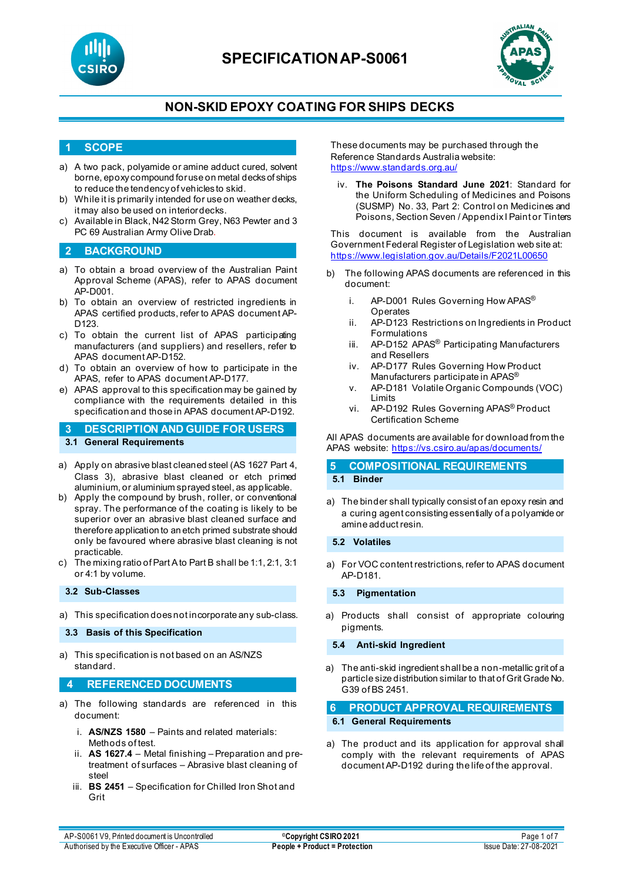



### **NON-SKID EPOXY COATING FOR SHIPS DECKS**

#### **1 SCOPE**

- a) A two pack, polyamide or amine adduct cured, solvent borne, epoxy compound for use on metal decks of ships to reduce the tendency of vehicles to skid.
- b) While it is primarily intended for use on weather decks, it may also be used on interior decks.
- c) Available in Black, N42 Storm Grey, N63 Pewter and 3 PC 69 Australian Army Olive Drab.

#### **2 BACKGROUND**

- a) To obtain a broad overview of the Australian Paint Approval Scheme (APAS), refer to APAS document AP-D001.
- b) To obtain an overview of restricted ingredients in APAS certified products, refer to APAS document AP-D123.
- c) To obtain the current list of APAS participating manufacturers (and suppliers) and resellers, refer to APAS document AP-D152.
- d) To obtain an overview of how to participate in the APAS, refer to APAS document AP-D177.
- e) APAS approval to this specification may be gained by compliance with the requirements detailed in this specification and those in APAS document AP-D192.

#### **3 DESCRIPTION AND GUIDE FOR USERS 3.1 General Requirements**

- a) Apply on abrasive blast cleaned steel (AS 1627 Part 4, Class 3), abrasive blast cleaned or etch primed aluminium, or aluminium sprayed steel, as applicable.
- b) Apply the compound by brush, roller, or conventional spray. The performance of the coating is likely to be superior over an abrasive blast cleaned surface and therefore application to an etch primed substrate should only be favoured where abrasive blast cleaning is not practicable.
- c) The mixing ratio of Part Ato Part B shall be 1:1, 2:1, 3:1 or 4:1 by volume.

#### **3.2 Sub-Classes**

a) This specification does not incorporate any sub-class.

**3.3 Basis of this Specification**

a) This specification is not based on an AS/NZS standard.

#### **4 REFERENCED DOCUMENTS**

- a) The following standards are referenced in this document:
	- i. **AS/NZS 1580** Paints and related materials: Methods of test.
	- ii. **AS 1627.4** Metal finishing Preparation and pretreatment of surfaces – Abrasive blast cleaning of steel
	- iii. **BS 2451**  Specification for Chilled Iron Shot and Grit

These documents may be purchased through the Reference Standards Australia website: <https://www.standards.org.au/>

iv. **The Poisons Standard June 2021**: Standard for the Uniform Scheduling of Medicines and Poisons (SUSMP) No. 33, Part 2: Control on Medicines and Poisons, Section Seven / Appendix I Paint or Tinters

This document is available from the Australian Government Federal Register of Legislation web site at: <https://www.legislation.gov.au/Details/F2021L00650>

- b) The following APAS documents are referenced in this document:
	- i. AP-D001 Rules Governing How APAS<sup>®</sup> **Operates**
	- ii. AP-D123 Restrictions on Ingredients in Product Formulations
	- iii. AP-D152 APAS<sup>®</sup> Participating Manufacturers and Resellers
	- iv. AP-D177 Rules Governing How Product Manufacturers participate in APAS<sup>®</sup>
	- v. AP-D181 Volatile Organic Compounds (VOC) Limits
	- vi. AP-D192 Rules Governing APAS® Product Certification Scheme

All APAS documents are available for download from the APAS website: <https://vs.csiro.au/apas/documents/>

#### **5 COMPOSITIONAL REQUIREMENTS 5.1 Binder**

- a) The binder shall typically consist of an epoxy resin and a curing agent consisting essentially of a polyamide or amine adduct resin.
- **5.2 Volatiles**
- a) For VOC content restrictions, refer to APAS document AP-D181.

#### **5.3 Pigmentation**

a) Products shall consist of appropriate colouring pigments.

#### **5.4 Anti-skid Ingredient**

a) The anti-skid ingredient shall be a non-metallic grit of a particle size distribution similar to that of Grit Grade No. G39 of BS 2451.

**6 PRODUCT APPROVAL REQUIREMENTS 6.1 General Requirements**

a) The product and its application for approval shall comply with the relevant requirements of APAS document AP-D192 during the life of the approval.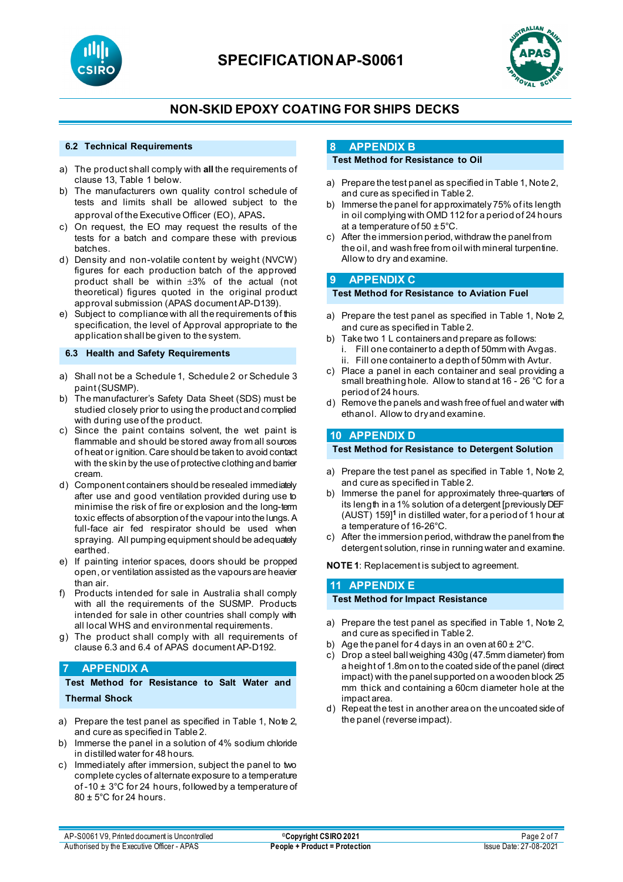



### **NON-SKID EPOXY COATING FOR SHIPS DECKS**

#### **6.2 Technical Requirements**

- a) The product shall comply with **all** the requirements of clause 13, Table 1 below.
- b) The manufacturers own quality control schedule of tests and limits shall be allowed subject to the approval of the Executive Officer (EO), APAS.
- c) On request, the EO may request the results of the tests for a batch and compare these with previous batches.
- d) Density and non-volatile content by weight (NVCW) figures for each production batch of the approved product shall be within ±3% of the actual (not theoretical) figures quoted in the original product approval submission (APAS document AP-D139).
- e) Subject to compliance with all the requirements of this specification, the level of Approval appropriate to the application shall be given to the system.

#### **6.3 Health and Safety Requirements**

- a) Shall not be a Schedule 1, Schedule 2 or Schedule 3 paint (SUSMP).
- b) The manufacturer's Safety Data Sheet (SDS) must be studied closely prior to using the product and complied with during use of the product.
- c) Since the paint contains solvent, the wet paint is flammable and should be stored away from all sources of heat or ignition. Care should be taken to avoid contact with the skin by the use of protective clothing and barrier cream.
- d) Component containers should be resealed immediately after use and good ventilation provided during use to minimise the risk of fire or explosion and the long-term toxic effects of absorption of the vapour into the lungs. A full-face air fed respirator should be used when spraying. All pumping equipment should be adequately earthed.
- e) If painting interior spaces, doors should be propped open, or ventilation assisted as the vapours are heavier than air.
- f) Products intended for sale in Australia shall comply with all the requirements of the SUSMP. Products intended for sale in other countries shall comply with all local WHS and environmental requirements.
- g) The product shall comply with all requirements of clause 6.3 and 6.4 of APAS document AP-D192.

#### **7 APPENDIX A**

**Test Method for Resistance to Salt Water and Thermal Shock**

- 
- a) Prepare the test panel as specified in Table 1, Note 2, and cure as specified in Table 2.
- b) Immerse the panel in a solution of 4% sodium chloride in distilled water for 48 hours.
- c) Immediately after immersion, subject the panel to two complete cycles of alternate exposure to a temperature of -10 ± 3°C for 24 hours, followed by a temperature of 80 ± 5°C for 24 hours.

#### **8 APPENDIX B**

#### **Test Method for Resistance to Oil**

- a) Prepare the test panel as specified in Table 1, Note 2, and cure as specified in Table 2.
- b) Immerse the panel for approximately 75% of its length in oil complying with OMD 112 for a period of 24 hours at a temperature of 50  $\pm$  5°C.
- c) After the immersion period, withdraw the panel from the oil, and wash free from oil with mineral turpentine. Allow to dry and examine.

#### **9 APPENDIX C**

#### **Test Method for Resistance to Aviation Fuel**

- a) Prepare the test panel as specified in Table 1, Note 2, and cure as specified in Table 2.
- b) Take two 1 L containers and prepare as follows:
	- i. Fill one container to a depth of 50mm with Avgas.
- ii. Fill one container to a depth of 50mm with Avtur. c) Place a panel in each container and seal providing a
- small breathing hole. Allow to stand at 16 26 °C for a period of 24 hours.
- d) Remove the panels and wash free of fuel and water with ethanol. Allow to dry and examine.

#### **10 APPENDIX D**

#### **Test Method for Resistance to Detergent Solution**

- a) Prepare the test panel as specified in Table 1, Note 2, and cure as specified in Table 2.
- b) Immerse the panel for approximately three-quarters of its length in a 1% solution of a detergent [previously DEF (AUST) 159]**<sup>1</sup>** in distilled water, for a period of 1 hour at a temperature of 16-26°C.
- c) After the immersion period, withdraw the panel from the detergent solution, rinse in running water and examine.

**NOTE1**: Replacement is subject to agreement.

#### **11 APPENDIX E**

#### **Test Method for Impact Resistance**

- a) Prepare the test panel as specified in Table 1, Note 2, and cure as specified in Table 2.
- b) Age the panel for 4 days in an oven at  $60 \pm 2^{\circ}$ C.
- c) Drop a steel ball weighing 430g (47.5mm diameter) from a height of 1.8m on to the coated side of the panel (direct impact) with the panel supported on a wooden block 25 mm thick and containing a 60cm diameter hole at the impact area.
- d) Repeat the test in another area on the uncoated side of the panel (reverse impact).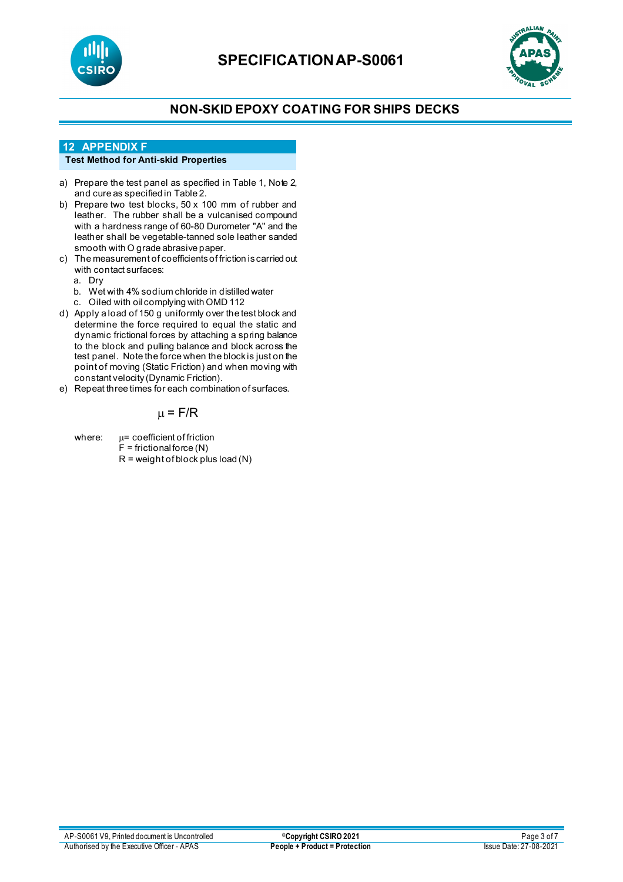



## **NON-SKID EPOXY COATING FOR SHIPS DECKS**

#### **12 APPENDIX F**

### **Test Method for Anti-skid Properties**

- a) Prepare the test panel as specified in Table 1, Note 2, and cure as specified in Table 2.
- b) Prepare two test blocks, 50 x 100 mm of rubber and leather. The rubber shall be a vulcanised compound with a hardness range of 60-80 Durometer "A" and the leather shall be vegetable-tanned sole leather sanded smooth with O grade abrasive paper.
- c) The measurement of coefficients of friction is carried out with contact surfaces:
	- a. Dry
	- b. Wet with 4% sodium chloride in distilled water
	- c. Oiled with oil complying with OMD 112
- d) Apply a load of 150 g uniformly over the test block and determine the force required to equal the static and dynamic frictional forces by attaching a spring balance to the block and pulling balance and block across the test panel. Note the force when the block is just on the point of moving (Static Friction) and when moving with constant velocity (Dynamic Friction).
- e) Repeat three times for each combination of surfaces.

### $\mu$  = F/R

where:  $\mu$ = coefficient of friction  $F =$  frictional force (N)  $R = weight of block plus load (N)$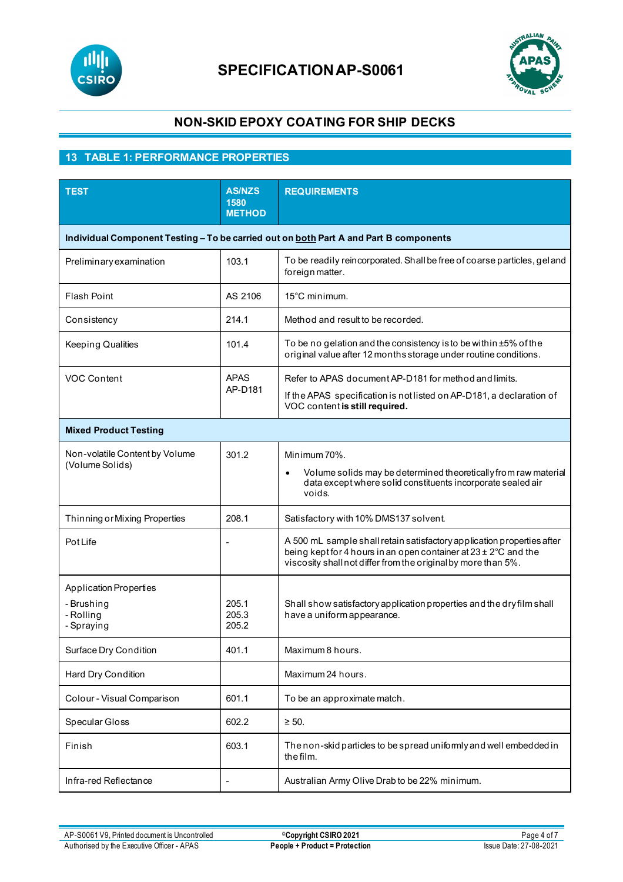



## **NON-SKID EPOXY COATING FOR SHIP DECKS**

## **13 TABLE 1: PERFORMANCE PROPERTIES**

| <b>TEST</b>                                                                           | <b>AS/NZS</b><br>1580<br><b>METHOD</b> | <b>REQUIREMENTS</b>                                                                                                                                                                                                    |  |  |
|---------------------------------------------------------------------------------------|----------------------------------------|------------------------------------------------------------------------------------------------------------------------------------------------------------------------------------------------------------------------|--|--|
| Individual Component Testing - To be carried out on both Part A and Part B components |                                        |                                                                                                                                                                                                                        |  |  |
| Preliminary examination                                                               | 103.1                                  | To be readily reincorporated. Shall be free of coarse particles, gel and<br>foreign matter.                                                                                                                            |  |  |
| Flash Point                                                                           | AS 2106                                | 15°C minimum.                                                                                                                                                                                                          |  |  |
| Consistency                                                                           | 214.1                                  | Method and result to be recorded.                                                                                                                                                                                      |  |  |
| <b>Keeping Qualities</b>                                                              | 101.4                                  | To be no gelation and the consistency is to be within $\pm 5\%$ of the<br>original value after 12 months storage under routine conditions.                                                                             |  |  |
| <b>VOC Content</b>                                                                    | <b>APAS</b><br>AP-D181                 | Refer to APAS document AP-D181 for method and limits.                                                                                                                                                                  |  |  |
|                                                                                       |                                        | If the APAS specification is not listed on AP-D181, a declaration of<br>VOC content is still required.                                                                                                                 |  |  |
| <b>Mixed Product Testing</b>                                                          |                                        |                                                                                                                                                                                                                        |  |  |
| Non-volatile Content by Volume                                                        | 301.2                                  | Minimum 70%.                                                                                                                                                                                                           |  |  |
| (Volume Solids)                                                                       |                                        | Volume solids may be determined theoretically from raw material<br>data except where solid constituents incorporate sealed air<br>voids.                                                                               |  |  |
| Thinning or Mixing Properties                                                         | 208.1                                  | Satisfactory with 10% DMS137 solvent.                                                                                                                                                                                  |  |  |
| <b>Pot Life</b>                                                                       |                                        | A 500 mL sample shall retain satisfactory application properties after<br>being kept for 4 hours in an open container at $23 \pm 2^{\circ}$ C and the<br>viscosity shall not differ from the original by more than 5%. |  |  |
| <b>Application Properties</b>                                                         |                                        |                                                                                                                                                                                                                        |  |  |
| - Brushing<br>- Rolling<br>- Spraying                                                 | 205.1<br>205.3<br>205.2                | Shall show satisfactory application properties and the dry film shall<br>have a uniform appearance.                                                                                                                    |  |  |
| Surface Dry Condition                                                                 | 401.1                                  | Maximum 8 hours.                                                                                                                                                                                                       |  |  |
| Hard Dry Condition                                                                    |                                        | Maximum 24 hours.                                                                                                                                                                                                      |  |  |
| Colour - Visual Comparison                                                            | 601.1                                  | To be an approximate match.                                                                                                                                                                                            |  |  |
| Specular Gloss                                                                        | 602.2                                  | $\geq$ 50.                                                                                                                                                                                                             |  |  |
| Finish                                                                                | 603.1                                  | The non-skid particles to be spread uniformly and well embedded in<br>the film.                                                                                                                                        |  |  |
| Infra-red Reflectance                                                                 |                                        | Australian Army Olive Drab to be 22% minimum.                                                                                                                                                                          |  |  |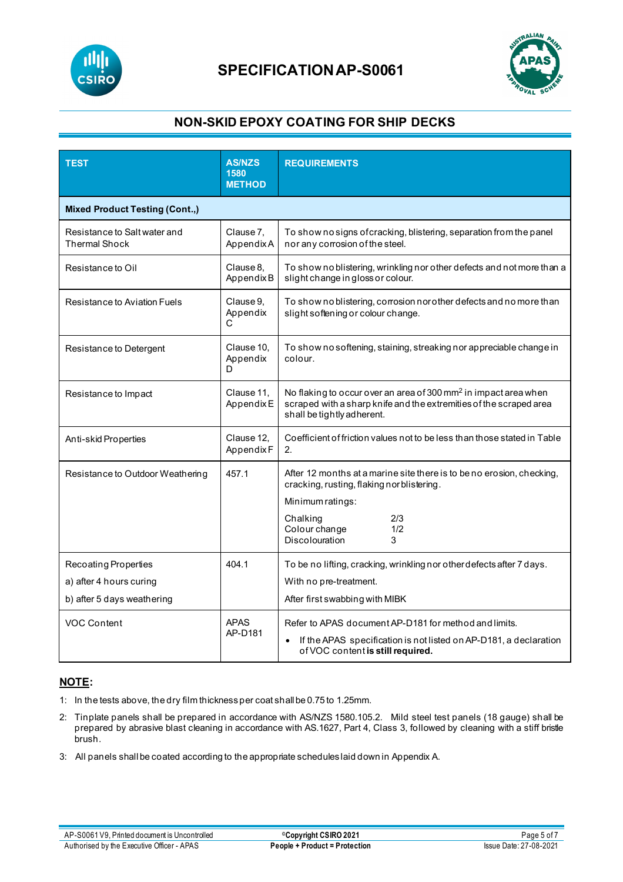



## **NON-SKID EPOXY COATING FOR SHIP DECKS**

| <b>TEST</b>                                                                   | <b>AS/NZS</b><br>1580<br><b>METHOD</b> | <b>REQUIREMENTS</b>                                                                                                                                                                                             |  |
|-------------------------------------------------------------------------------|----------------------------------------|-----------------------------------------------------------------------------------------------------------------------------------------------------------------------------------------------------------------|--|
| <b>Mixed Product Testing (Cont.,)</b>                                         |                                        |                                                                                                                                                                                                                 |  |
| Resistance to Salt water and<br><b>Thermal Shock</b>                          | Clause 7,<br>AppendixA                 | To show no signs of cracking, blistering, separation from the panel<br>nor any corrosion of the steel.                                                                                                          |  |
| Resistance to Oil                                                             | Clause 8.<br>AppendixB                 | To show no blistering, wrinkling nor other defects and not more than a<br>slight change in gloss or colour.                                                                                                     |  |
| Resistance to Aviation Fuels                                                  | Clause 9.<br>Appendix<br>C             | To show no blistering, corrosion nor other defects and no more than<br>slight softening or colour change.                                                                                                       |  |
| Resistance to Detergent                                                       | Clause 10,<br>Appendix<br>D            | To show no softening, staining, streaking nor appreciable change in<br>colour.                                                                                                                                  |  |
| Resistance to Impact                                                          | Clause 11,<br>AppendixE                | No flaking to occur over an area of 300 mm <sup>2</sup> in impact area when<br>scraped with a sharp knife and the extremities of the scraped area<br>shall be tightly adherent.                                 |  |
| Anti-skid Properties                                                          | Clause 12,<br>AppendixF                | Coefficient of friction values not to be less than those stated in Table<br>2.                                                                                                                                  |  |
| Resistance to Outdoor Weathering                                              | 457.1                                  | After 12 months at a marine site there is to be no erosion, checking,<br>cracking, rusting, flaking norblistering.<br>Minimum ratings:<br>2/3<br>Chalking<br>Colour change<br>1/2<br><b>Discolouration</b><br>3 |  |
| Recoating Properties<br>a) after 4 hours curing<br>b) after 5 days weathering | 404.1                                  | To be no lifting, cracking, wrinkling nor other defects after 7 days.<br>With no pre-treatment.<br>After first swabbing with MIBK                                                                               |  |
| <b>VOC Content</b>                                                            | <b>APAS</b><br>AP-D181                 | Refer to APAS document AP-D181 for method and limits.<br>If the APAS specification is not listed on AP-D181, a declaration<br>of VOC content is still required.                                                 |  |

### **NOTE:**

- 1: In the tests above, the dry film thickness per coat shall be 0.75 to 1.25mm.
- 2: Tinplate panels shall be prepared in accordance with AS/NZS 1580.105.2. Mild steel test panels (18 gauge) shall be prepared by abrasive blast cleaning in accordance with AS.1627, Part 4, Class 3, followed by cleaning with a stiff bristle brush.
- 3: All panels shall be coated according to the appropriate schedules laid down in Appendix A.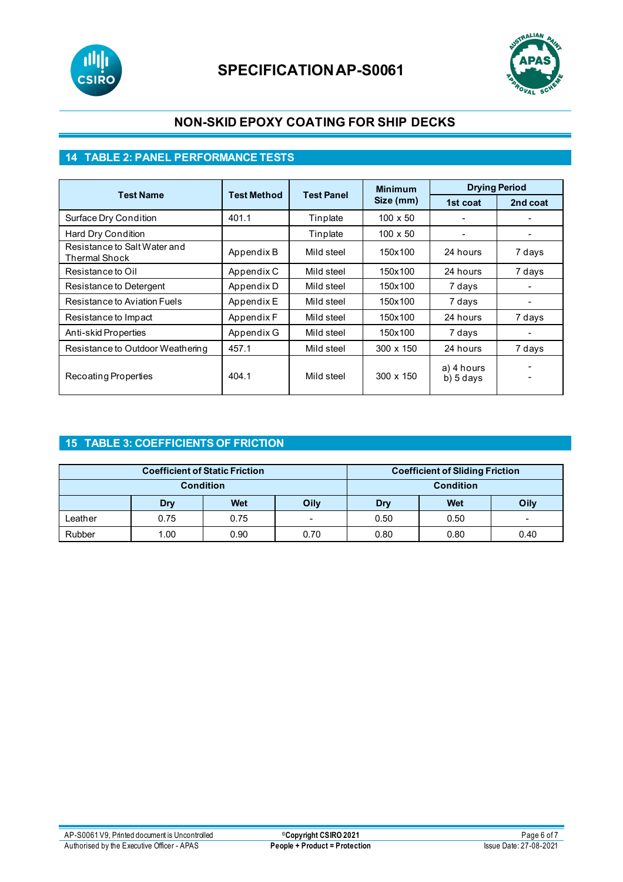



## **NON-SKID EPOXY COATING FOR SHIP DECKS**

## **14 TABLE 2: PANEL PERFORMANCE TESTS**

|                                               |                    |                   | <b>Minimum</b>   | <b>Drying Period</b>    |                          |
|-----------------------------------------------|--------------------|-------------------|------------------|-------------------------|--------------------------|
| <b>Test Name</b>                              | <b>Test Method</b> | <b>Test Panel</b> | Size (mm)        | 1st coat                | 2nd coat                 |
| Surface Dry Condition                         | 401.1              | Tinplate          | $100 \times 50$  |                         |                          |
| Hard Dry Condition                            |                    | Tinplate          | $100 \times 50$  |                         |                          |
| Resistance to Salt Water and<br>Thermal Shock | Appendix B         | Mild steel        | 150x100          | 24 hours                | 7 days                   |
| Resistance to Oil                             | Appendix C         | Mild steel        | 150x100          | 24 hours                | 7 days                   |
| Resistance to Detergent                       | Appendix D         | Mild steel        | 150x100          | 7 days                  |                          |
| Resistance to Aviation Fuels                  | Appendix E         | Mild steel        | 150x100          | 7 days                  |                          |
| Resistance to Impact                          | Appendix F         | Mild steel        | 150x100          | 24 hours                | 7 days                   |
| Anti-skid Properties                          | Appendix G         | Mild steel        | 150x100          | 7 days                  |                          |
| Resistance to Outdoor Weathering              | 457.1              | Mild steel        | 300 x 150        | 24 hours                | 7 days                   |
| Recoating Properties                          | 404.1              | Mild steel        | $300 \times 150$ | a) 4 hours<br>b) 5 days | $\overline{\phantom{0}}$ |

### **15 TABLE 3: COEFFICIENTS OF FRICTION**

| <b>Coefficient of Static Friction</b> |      |            | <b>Coefficient of Sliding Friction</b> |      |      |      |
|---------------------------------------|------|------------|----------------------------------------|------|------|------|
| <b>Condition</b>                      |      |            | <b>Condition</b>                       |      |      |      |
|                                       | Dry  | <b>Wet</b> | Oily                                   | Drv  | Wet  | Oily |
| Leather                               | 0.75 | 0.75       | $\sim$                                 | 0.50 | 0.50 | -    |
| Rubber                                | 1.00 | 0.90       | 0.70                                   | 0.80 | 0.80 | 0.40 |